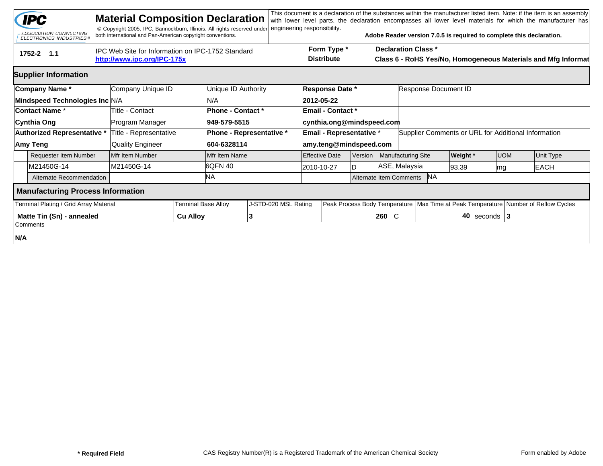|                                                                                                | <b>IPC</b><br>ASSOCIATION CONNECTING<br><b>ELECTRONICS INDUSTRIES®</b> |  | <b>Material Composition Declaration</b><br>© Copyright 2005. IPC, Bannockburn, Illinois. All rights reserved under<br>both international and Pan-American copyright conventions. |                            |                          | engineering responsibility. |                                  |                                  |       |                            | Adobe Reader version 7.0.5 is required to complete this declaration.                        |                  |  |                                                                                        | This document is a declaration of the substances within the manufacturer listed item. Note: if the item is an assembly<br>with lower level parts, the declaration encompasses all lower level materials for which the manufacturer has |  |  |
|------------------------------------------------------------------------------------------------|------------------------------------------------------------------------|--|----------------------------------------------------------------------------------------------------------------------------------------------------------------------------------|----------------------------|--------------------------|-----------------------------|----------------------------------|----------------------------------|-------|----------------------------|---------------------------------------------------------------------------------------------|------------------|--|----------------------------------------------------------------------------------------|----------------------------------------------------------------------------------------------------------------------------------------------------------------------------------------------------------------------------------------|--|--|
| IPC Web Site for Information on IPC-1752 Standard<br>1752-2 1.1<br>http://www.ipc.org/IPC-175x |                                                                        |  |                                                                                                                                                                                  |                            |                          |                             | Form Type *<br><b>Distribute</b> |                                  |       |                            | <b>Declaration Class *</b><br>Class 6 - RoHS Yes/No, Homogeneous Materials and Mfg Informat |                  |  |                                                                                        |                                                                                                                                                                                                                                        |  |  |
| <b>Supplier Information</b>                                                                    |                                                                        |  |                                                                                                                                                                                  |                            |                          |                             |                                  |                                  |       |                            |                                                                                             |                  |  |                                                                                        |                                                                                                                                                                                                                                        |  |  |
| <b>Company Name*</b>                                                                           |                                                                        |  | Company Unique ID                                                                                                                                                                |                            | Unique ID Authority      |                             |                                  | Response Date *                  |       |                            | Response Document ID                                                                        |                  |  |                                                                                        |                                                                                                                                                                                                                                        |  |  |
| Mindspeed Technologies Inc N/A                                                                 |                                                                        |  |                                                                                                                                                                                  |                            | N/A                      |                             |                                  | 2012-05-22                       |       |                            |                                                                                             |                  |  |                                                                                        |                                                                                                                                                                                                                                        |  |  |
| <b>Contact Name *</b>                                                                          |                                                                        |  | Title - Contact                                                                                                                                                                  |                            | Phone - Contact *        |                             |                                  | <b>Email - Contact *</b>         |       |                            |                                                                                             |                  |  |                                                                                        |                                                                                                                                                                                                                                        |  |  |
| <b>Cynthia Ong</b>                                                                             |                                                                        |  | Program Manager                                                                                                                                                                  |                            | 949-579-5515             |                             | cynthia.ong@mindspeed.com        |                                  |       |                            |                                                                                             |                  |  |                                                                                        |                                                                                                                                                                                                                                        |  |  |
|                                                                                                | <b>Authorized Representative *</b>                                     |  | Title - Representative                                                                                                                                                           |                            | Phone - Representative * |                             | Email - Representative *         |                                  |       |                            | Supplier Comments or URL for Additional Information                                         |                  |  |                                                                                        |                                                                                                                                                                                                                                        |  |  |
| Amy Teng                                                                                       |                                                                        |  | <b>Quality Engineer</b>                                                                                                                                                          |                            | 604-6328114              |                             | amy.teng@mindspeed.com           |                                  |       |                            |                                                                                             |                  |  |                                                                                        |                                                                                                                                                                                                                                        |  |  |
|                                                                                                | <b>Requester Item Number</b>                                           |  | Mfr Item Number                                                                                                                                                                  |                            | Mfr Item Name            |                             |                                  | <b>Effective Date</b><br>Version |       |                            | Manufacturing Site                                                                          | Weight *         |  | <b>UOM</b>                                                                             | Unit Type                                                                                                                                                                                                                              |  |  |
|                                                                                                | M21450G-14                                                             |  | M21450G-14                                                                                                                                                                       |                            | 6QFN 40                  |                             |                                  | 2010-10-27                       |       | ASE, Malaysia              |                                                                                             | 93.39            |  | mg                                                                                     | <b>EACH</b>                                                                                                                                                                                                                            |  |  |
|                                                                                                | Alternate Recommendation                                               |  |                                                                                                                                                                                  |                            | ΝA                       |                             |                                  |                                  |       | Alternate Item Comments NA |                                                                                             |                  |  |                                                                                        |                                                                                                                                                                                                                                        |  |  |
| <b>Manufacturing Process Information</b>                                                       |                                                                        |  |                                                                                                                                                                                  |                            |                          |                             |                                  |                                  |       |                            |                                                                                             |                  |  |                                                                                        |                                                                                                                                                                                                                                        |  |  |
| Terminal Plating / Grid Array Material                                                         |                                                                        |  |                                                                                                                                                                                  | <b>Terminal Base Alloy</b> | J-STD-020 MSL Rating     |                             |                                  |                                  |       |                            |                                                                                             |                  |  | Peak Process Body Temperature   Max Time at Peak Temperature   Number of Reflow Cycles |                                                                                                                                                                                                                                        |  |  |
| Matte Tin (Sn) - annealed                                                                      |                                                                        |  | <b>Cu Alloy</b>                                                                                                                                                                  |                            |                          |                             |                                  |                                  | 260 C |                            |                                                                                             | 40 seconds $ 3 $ |  |                                                                                        |                                                                                                                                                                                                                                        |  |  |
|                                                                                                | Comments                                                               |  |                                                                                                                                                                                  |                            |                          |                             |                                  |                                  |       |                            |                                                                                             |                  |  |                                                                                        |                                                                                                                                                                                                                                        |  |  |
| N/A                                                                                            |                                                                        |  |                                                                                                                                                                                  |                            |                          |                             |                                  |                                  |       |                            |                                                                                             |                  |  |                                                                                        |                                                                                                                                                                                                                                        |  |  |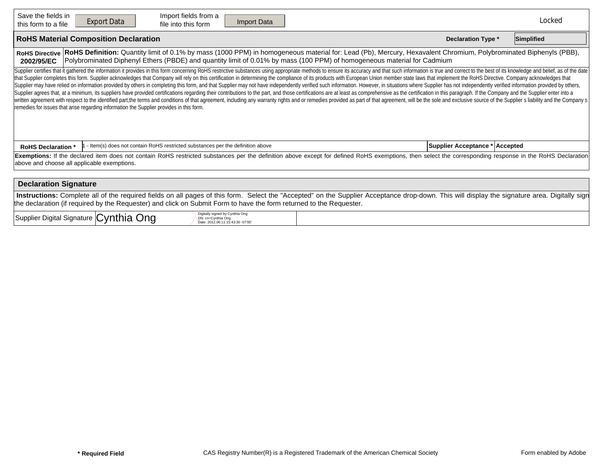| Save the fields in<br>this form to a file                                                                                                                                                                                                                                                                                                                                                                                                                                                                                                                                                                                                                                                                                                                                                                                                                                                                                                                                                                                                                                                                                                                                                                                                                         | Import fields from a<br><b>Export Data</b><br>Import Data<br>file into this form                                                     |  | Locked |  |  |  |  |  |  |  |  |
|-------------------------------------------------------------------------------------------------------------------------------------------------------------------------------------------------------------------------------------------------------------------------------------------------------------------------------------------------------------------------------------------------------------------------------------------------------------------------------------------------------------------------------------------------------------------------------------------------------------------------------------------------------------------------------------------------------------------------------------------------------------------------------------------------------------------------------------------------------------------------------------------------------------------------------------------------------------------------------------------------------------------------------------------------------------------------------------------------------------------------------------------------------------------------------------------------------------------------------------------------------------------|--------------------------------------------------------------------------------------------------------------------------------------|--|--------|--|--|--|--|--|--|--|--|
| <b>RoHS Material Composition Declaration</b><br><b>Declaration Type *</b><br>Simplified                                                                                                                                                                                                                                                                                                                                                                                                                                                                                                                                                                                                                                                                                                                                                                                                                                                                                                                                                                                                                                                                                                                                                                           |                                                                                                                                      |  |        |  |  |  |  |  |  |  |  |
| RoHS Definition: Quantity limit of 0.1% by mass (1000 PPM) in homogeneous material for: Lead (Pb), Mercury, Hexavalent Chromium, Polybrominated Biphenyls (PBB),<br><b>RoHS Directive</b><br>Polybrominated Diphenyl Ethers (PBDE) and quantity limit of 0.01% by mass (100 PPM) of homogeneous material for Cadmium<br>2002/95/EC                                                                                                                                                                                                                                                                                                                                                                                                                                                                                                                                                                                                                                                                                                                                                                                                                                                                                                                                |                                                                                                                                      |  |        |  |  |  |  |  |  |  |  |
| Supplier certifies that it gathered the information it provides in this form concerning RoHS restrictive substances using appropriate methods to ensure its accuracy and that such information is true and correct to the best<br>that Supplier completes this form. Supplier acknowledges that Company will rely on this certification in determining the compliance of its products with European Union member state laws that implement the RoHS Directive. C<br>Supplier may have relied on information provided by others in completing this form, and that Supplier may not have independently verified such information. However, in situations where Supplier has not independently verifi<br>Supplier agrees that, at a minimum, its suppliers have provided certifications regarding their contributions to the part, and those certifications are at least as comprehensive as the certification in this paragraph. If th<br>written agreement with respect to the identified part, the terms and conditions of that agreement, including any warranty rights and or remedies provided as part of that agreement, will be the sole and exclusive source of<br>remedies for issues that arise regarding information the Supplier provides in this form. |                                                                                                                                      |  |        |  |  |  |  |  |  |  |  |
| - Item(s) does not contain RoHS restricted substances per the definition above<br>Supplier Acceptance * Accepted<br><b>RoHS Declaration *</b>                                                                                                                                                                                                                                                                                                                                                                                                                                                                                                                                                                                                                                                                                                                                                                                                                                                                                                                                                                                                                                                                                                                     |                                                                                                                                      |  |        |  |  |  |  |  |  |  |  |
| Exemptions: If the declared item does not contain RoHS restricted substances per the definition above except for defined RoHS exemptions, then select the corresponding response in the RoHS Declaration<br>above and choose all applicable exemptions.                                                                                                                                                                                                                                                                                                                                                                                                                                                                                                                                                                                                                                                                                                                                                                                                                                                                                                                                                                                                           |                                                                                                                                      |  |        |  |  |  |  |  |  |  |  |
| <b>Declaration Signature</b>                                                                                                                                                                                                                                                                                                                                                                                                                                                                                                                                                                                                                                                                                                                                                                                                                                                                                                                                                                                                                                                                                                                                                                                                                                      |                                                                                                                                      |  |        |  |  |  |  |  |  |  |  |
| Instructions: Complete all of the required fields on all pages of this form. Select the "Accepted" on the Supplier Acceptance drop-down. This will display the signature area. Digitally sign<br>the declaration (if required by the Requester) and click on Submit Form to have the form returned to the Requester.                                                                                                                                                                                                                                                                                                                                                                                                                                                                                                                                                                                                                                                                                                                                                                                                                                                                                                                                              |                                                                                                                                      |  |        |  |  |  |  |  |  |  |  |
|                                                                                                                                                                                                                                                                                                                                                                                                                                                                                                                                                                                                                                                                                                                                                                                                                                                                                                                                                                                                                                                                                                                                                                                                                                                                   | Digitally signed by Cynthia Ong<br>Supplier Digital Signature Cynthia Ong<br>DN: cn=Cynthia Ong<br>Date: 2012.06.11 15:43:30 -07'00' |  |        |  |  |  |  |  |  |  |  |